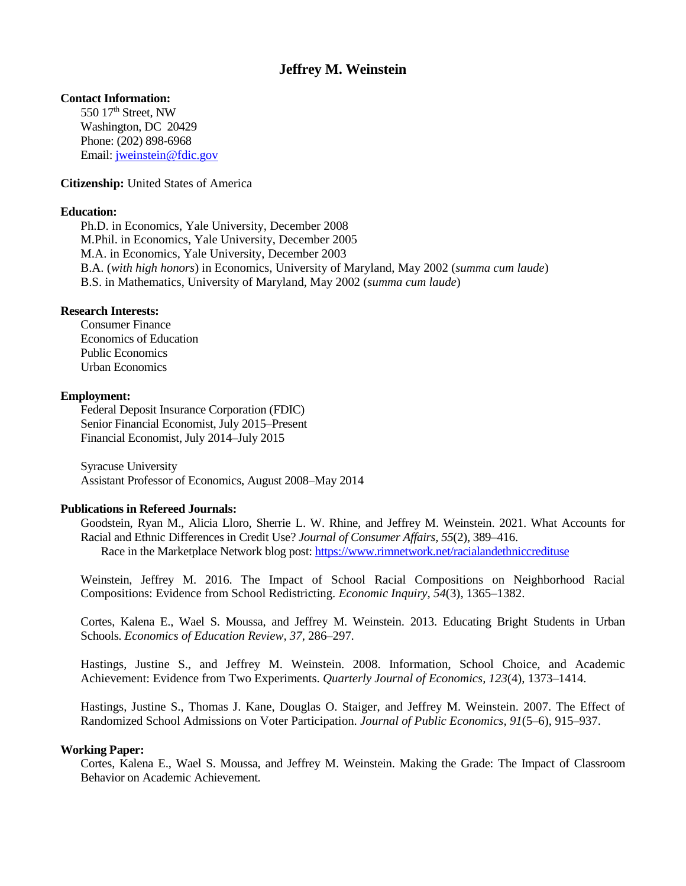# **Jeffrey M. Weinstein**

# **Contact Information:**

550 17<sup>th</sup> Street, NW Washington, DC 20429 Phone: (202) 898-6968 Email: [jweinstein@fdic.gov](mailto:jweinstein@fdic.gov)

## **Citizenship:** United States of America

### **Education:**

Ph.D. in Economics, Yale University, December 2008 M.Phil. in Economics, Yale University, December 2005 M.A. in Economics, Yale University, December 2003 B.A. (*with high honors*) in Economics, University of Maryland, May 2002 (*summa cum laude*) B.S. in Mathematics, University of Maryland, May 2002 (*summa cum laude*)

## **Research Interests:**

Consumer Finance Economics of Education Public Economics Urban Economics

### **Employment:**

Federal Deposit Insurance Corporation (FDIC) Senior Financial Economist, July 2015–Present Financial Economist, July 2014–July 2015

Syracuse University Assistant Professor of Economics, August 2008–May 2014

### **Publications in Refereed Journals:**

Goodstein, Ryan M., Alicia Lloro, Sherrie L. W. Rhine, and Jeffrey M. Weinstein. 2021. What Accounts for Racial and Ethnic Differences in Credit Use? *Journal of Consumer Affairs, 55*(2), 389–416. Race in the Marketplace Network blog post:<https://www.rimnetwork.net/racialandethniccredituse>

Weinstein, Jeffrey M. 2016. The Impact of School Racial Compositions on Neighborhood Racial Compositions: Evidence from School Redistricting. *Economic Inquiry, 54*(3), 1365–1382.

Cortes, Kalena E., Wael S. Moussa, and Jeffrey M. Weinstein. 2013. Educating Bright Students in Urban Schools. *Economics of Education Review, 37*, 286–297.

Hastings, Justine S., and Jeffrey M. Weinstein. 2008. Information, School Choice, and Academic Achievement: Evidence from Two Experiments. *Quarterly Journal of Economics, 123*(4), 1373–1414.

Hastings, Justine S., Thomas J. Kane, Douglas O. Staiger, and Jeffrey M. Weinstein. 2007. The Effect of Randomized School Admissions on Voter Participation. *Journal of Public Economics, 91*(5–6), 915–937.

### **Working Paper:**

Cortes, Kalena E., Wael S. Moussa, and Jeffrey M. Weinstein. Making the Grade: The Impact of Classroom Behavior on Academic Achievement.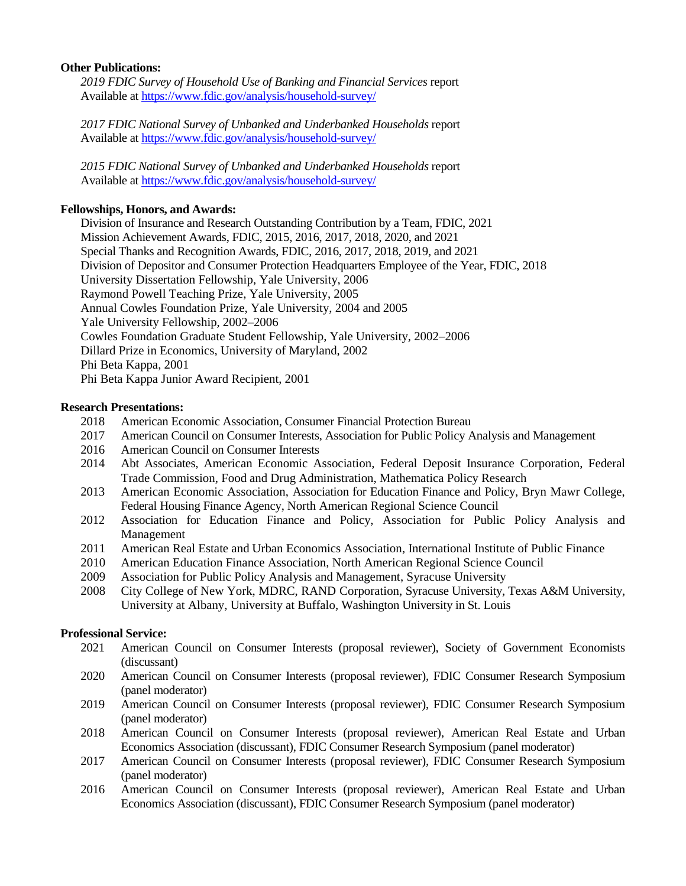# **Other Publications:**

*2019 FDIC Survey of Household Use of Banking and Financial Services* report Available at<https://www.fdic.gov/analysis/household-survey/>

*2017 FDIC National Survey of Unbanked and Underbanked Households* report Available at<https://www.fdic.gov/analysis/household-survey/>

*2015 FDIC National Survey of Unbanked and Underbanked Households* report Available at<https://www.fdic.gov/analysis/household-survey/>

# **Fellowships, Honors, and Awards:**

Division of Insurance and Research Outstanding Contribution by a Team, FDIC, 2021 Mission Achievement Awards, FDIC, 2015, 2016, 2017, 2018, 2020, and 2021 Special Thanks and Recognition Awards, FDIC, 2016, 2017, 2018, 2019, and 2021 Division of Depositor and Consumer Protection Headquarters Employee of the Year, FDIC, 2018 University Dissertation Fellowship, Yale University, 2006 Raymond Powell Teaching Prize, Yale University, 2005 Annual Cowles Foundation Prize, Yale University, 2004 and 2005 Yale University Fellowship, 2002–2006 Cowles Foundation Graduate Student Fellowship, Yale University, 2002–2006 Dillard Prize in Economics, University of Maryland, 2002 Phi Beta Kappa, 2001 Phi Beta Kappa Junior Award Recipient, 2001

# **Research Presentations:**

- 2018 American Economic Association, Consumer Financial Protection Bureau
- 2017 American Council on Consumer Interests, Association for Public Policy Analysis and Management
- 2016 American Council on Consumer Interests
- 2014 Abt Associates, American Economic Association, Federal Deposit Insurance Corporation, Federal Trade Commission, Food and Drug Administration, Mathematica Policy Research
- 2013 American Economic Association, Association for Education Finance and Policy, Bryn Mawr College, Federal Housing Finance Agency, North American Regional Science Council
- 2012 Association for Education Finance and Policy, Association for Public Policy Analysis and Management
- 2011 American Real Estate and Urban Economics Association, International Institute of Public Finance
- 2010 American Education Finance Association, North American Regional Science Council
- 2009 Association for Public Policy Analysis and Management, Syracuse University
- 2008 City College of New York, MDRC, RAND Corporation, Syracuse University, Texas A&M University, University at Albany, University at Buffalo, Washington University in St. Louis

# **Professional Service:**

- 2021 American Council on Consumer Interests (proposal reviewer), Society of Government Economists (discussant)
- 2020 American Council on Consumer Interests (proposal reviewer), FDIC Consumer Research Symposium (panel moderator)
- 2019 American Council on Consumer Interests (proposal reviewer), FDIC Consumer Research Symposium (panel moderator)
- 2018 American Council on Consumer Interests (proposal reviewer), American Real Estate and Urban Economics Association (discussant), FDIC Consumer Research Symposium (panel moderator)
- 2017 American Council on Consumer Interests (proposal reviewer), FDIC Consumer Research Symposium (panel moderator)
- 2016 American Council on Consumer Interests (proposal reviewer), American Real Estate and Urban Economics Association (discussant), FDIC Consumer Research Symposium (panel moderator)